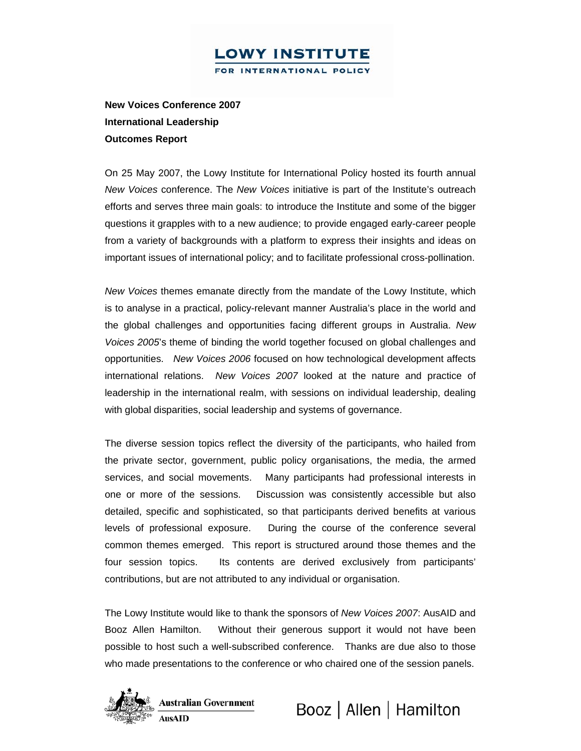**New Voices Conference 2007 International Leadership Outcomes Report** 

On 25 May 2007, the Lowy Institute for International Policy hosted its fourth annual *New Voices* conference. The *New Voices* initiative is part of the Institute's outreach efforts and serves three main goals: to introduce the Institute and some of the bigger questions it grapples with to a new audience; to provide engaged early-career people from a variety of backgrounds with a platform to express their insights and ideas on important issues of international policy; and to facilitate professional cross-pollination.

*New Voices* themes emanate directly from the mandate of the Lowy Institute, which is to analyse in a practical, policy-relevant manner Australia's place in the world and the global challenges and opportunities facing different groups in Australia. *New Voices 2005*'s theme of binding the world together focused on global challenges and opportunities. *New Voices 2006* focused on how technological development affects international relations. *New Voices 2007* looked at the nature and practice of leadership in the international realm, with sessions on individual leadership, dealing with global disparities, social leadership and systems of governance.

The diverse session topics reflect the diversity of the participants, who hailed from the private sector, government, public policy organisations, the media, the armed services, and social movements. Many participants had professional interests in one or more of the sessions. Discussion was consistently accessible but also detailed, specific and sophisticated, so that participants derived benefits at various levels of professional exposure. During the course of the conference several common themes emerged. This report is structured around those themes and the four session topics. Its contents are derived exclusively from participants' contributions, but are not attributed to any individual or organisation.

The Lowy Institute would like to thank the sponsors of *New Voices 2007*: AusAID and Booz Allen Hamilton. Without their generous support it would not have been possible to host such a well-subscribed conference. Thanks are due also to those who made presentations to the conference or who chaired one of the session panels.



**Australian Government AusAID** 

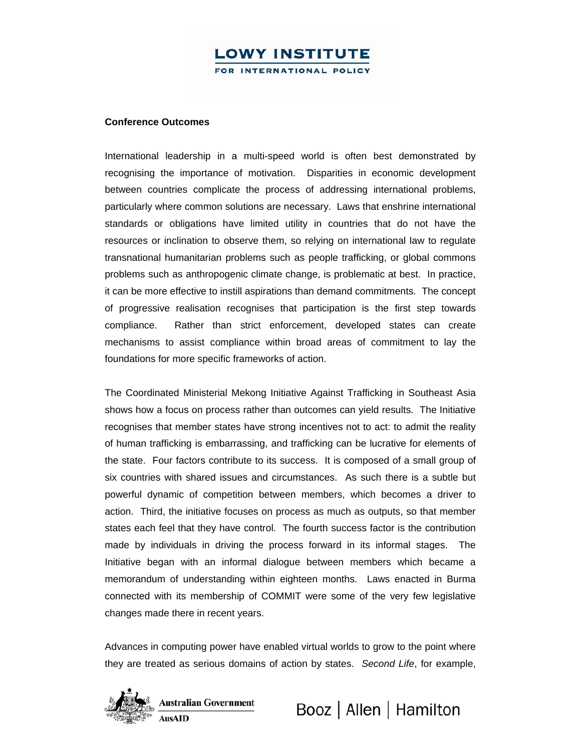#### **Conference Outcomes**

International leadership in a multi-speed world is often best demonstrated by recognising the importance of motivation. Disparities in economic development between countries complicate the process of addressing international problems, particularly where common solutions are necessary. Laws that enshrine international standards or obligations have limited utility in countries that do not have the resources or inclination to observe them, so relying on international law to regulate transnational humanitarian problems such as people trafficking, or global commons problems such as anthropogenic climate change, is problematic at best. In practice, it can be more effective to instill aspirations than demand commitments. The concept of progressive realisation recognises that participation is the first step towards compliance. Rather than strict enforcement, developed states can create mechanisms to assist compliance within broad areas of commitment to lay the foundations for more specific frameworks of action.

The Coordinated Ministerial Mekong Initiative Against Trafficking in Southeast Asia shows how a focus on process rather than outcomes can yield results. The Initiative recognises that member states have strong incentives not to act: to admit the reality of human trafficking is embarrassing, and trafficking can be lucrative for elements of the state. Four factors contribute to its success. It is composed of a small group of six countries with shared issues and circumstances. As such there is a subtle but powerful dynamic of competition between members, which becomes a driver to action. Third, the initiative focuses on process as much as outputs, so that member states each feel that they have control. The fourth success factor is the contribution made by individuals in driving the process forward in its informal stages. The Initiative began with an informal dialogue between members which became a memorandum of understanding within eighteen months. Laws enacted in Burma connected with its membership of COMMIT were some of the very few legislative changes made there in recent years.

Advances in computing power have enabled virtual worlds to grow to the point where they are treated as serious domains of action by states. *Second Life*, for example,

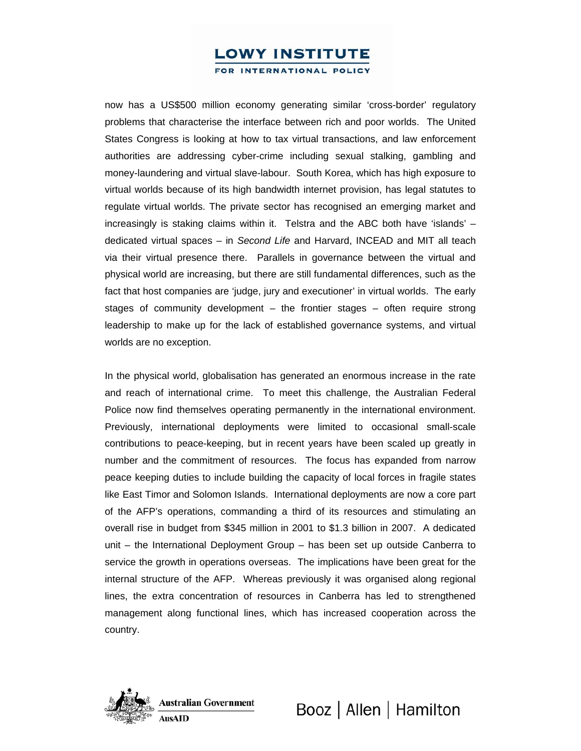## **LOWY INSTITUTE**

FOR INTERNATIONAL POLICY

now has a US\$500 million economy generating similar 'cross-border' regulatory problems that characterise the interface between rich and poor worlds. The United States Congress is looking at how to tax virtual transactions, and law enforcement authorities are addressing cyber-crime including sexual stalking, gambling and money-laundering and virtual slave-labour. South Korea, which has high exposure to virtual worlds because of its high bandwidth internet provision, has legal statutes to regulate virtual worlds. The private sector has recognised an emerging market and increasingly is staking claims within it. Telstra and the ABC both have 'islands' – dedicated virtual spaces – in *Second Life* and Harvard, INCEAD and MIT all teach via their virtual presence there. Parallels in governance between the virtual and physical world are increasing, but there are still fundamental differences, such as the fact that host companies are 'judge, jury and executioner' in virtual worlds. The early stages of community development – the frontier stages – often require strong leadership to make up for the lack of established governance systems, and virtual worlds are no exception.

In the physical world, globalisation has generated an enormous increase in the rate and reach of international crime. To meet this challenge, the Australian Federal Police now find themselves operating permanently in the international environment. Previously, international deployments were limited to occasional small-scale contributions to peace-keeping, but in recent years have been scaled up greatly in number and the commitment of resources. The focus has expanded from narrow peace keeping duties to include building the capacity of local forces in fragile states like East Timor and Solomon Islands. International deployments are now a core part of the AFP's operations, commanding a third of its resources and stimulating an overall rise in budget from \$345 million in 2001 to \$1.3 billion in 2007. A dedicated unit – the International Deployment Group – has been set up outside Canberra to service the growth in operations overseas. The implications have been great for the internal structure of the AFP. Whereas previously it was organised along regional lines, the extra concentration of resources in Canberra has led to strengthened management along functional lines, which has increased cooperation across the country.

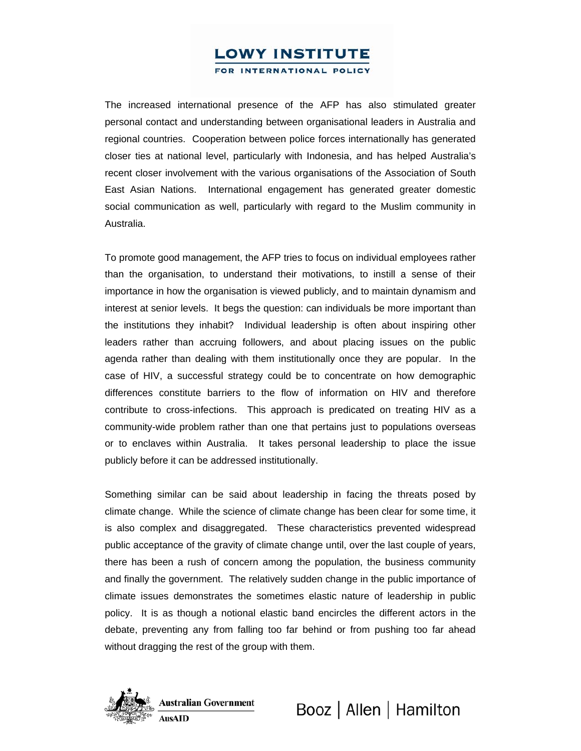# **LOWY INSTITUTE**

FOR INTERNATIONAL POLICY

The increased international presence of the AFP has also stimulated greater personal contact and understanding between organisational leaders in Australia and regional countries. Cooperation between police forces internationally has generated closer ties at national level, particularly with Indonesia, and has helped Australia's recent closer involvement with the various organisations of the Association of South East Asian Nations. International engagement has generated greater domestic social communication as well, particularly with regard to the Muslim community in Australia.

To promote good management, the AFP tries to focus on individual employees rather than the organisation, to understand their motivations, to instill a sense of their importance in how the organisation is viewed publicly, and to maintain dynamism and interest at senior levels. It begs the question: can individuals be more important than the institutions they inhabit? Individual leadership is often about inspiring other leaders rather than accruing followers, and about placing issues on the public agenda rather than dealing with them institutionally once they are popular. In the case of HIV, a successful strategy could be to concentrate on how demographic differences constitute barriers to the flow of information on HIV and therefore contribute to cross-infections. This approach is predicated on treating HIV as a community-wide problem rather than one that pertains just to populations overseas or to enclaves within Australia. It takes personal leadership to place the issue publicly before it can be addressed institutionally.

Something similar can be said about leadership in facing the threats posed by climate change. While the science of climate change has been clear for some time, it is also complex and disaggregated. These characteristics prevented widespread public acceptance of the gravity of climate change until, over the last couple of years, there has been a rush of concern among the population, the business community and finally the government. The relatively sudden change in the public importance of climate issues demonstrates the sometimes elastic nature of leadership in public policy. It is as though a notional elastic band encircles the different actors in the debate, preventing any from falling too far behind or from pushing too far ahead without dragging the rest of the group with them.



**Australian Government AusAID** 

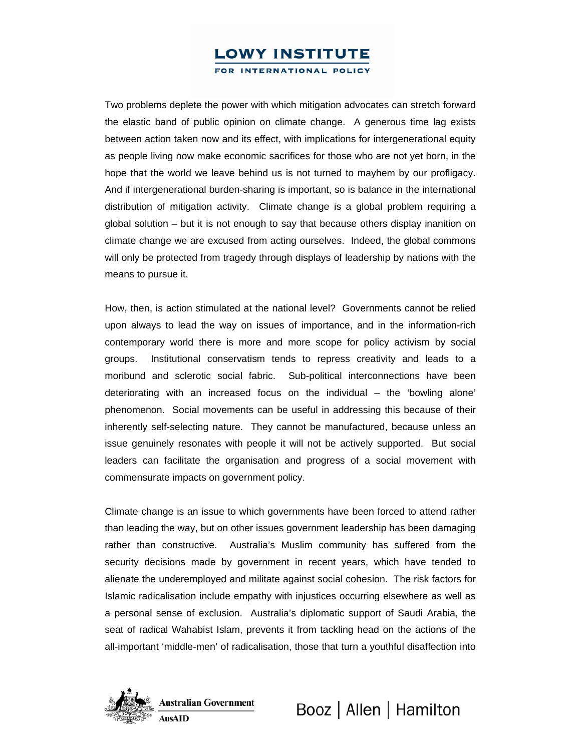Two problems deplete the power with which mitigation advocates can stretch forward the elastic band of public opinion on climate change. A generous time lag exists between action taken now and its effect, with implications for intergenerational equity as people living now make economic sacrifices for those who are not yet born, in the hope that the world we leave behind us is not turned to mayhem by our profligacy. And if intergenerational burden-sharing is important, so is balance in the international distribution of mitigation activity. Climate change is a global problem requiring a global solution – but it is not enough to say that because others display inanition on climate change we are excused from acting ourselves. Indeed, the global commons will only be protected from tragedy through displays of leadership by nations with the means to pursue it.

How, then, is action stimulated at the national level? Governments cannot be relied upon always to lead the way on issues of importance, and in the information-rich contemporary world there is more and more scope for policy activism by social groups. Institutional conservatism tends to repress creativity and leads to a moribund and sclerotic social fabric. Sub-political interconnections have been deteriorating with an increased focus on the individual – the 'bowling alone' phenomenon. Social movements can be useful in addressing this because of their inherently self-selecting nature. They cannot be manufactured, because unless an issue genuinely resonates with people it will not be actively supported. But social leaders can facilitate the organisation and progress of a social movement with commensurate impacts on government policy.

Climate change is an issue to which governments have been forced to attend rather than leading the way, but on other issues government leadership has been damaging rather than constructive. Australia's Muslim community has suffered from the security decisions made by government in recent years, which have tended to alienate the underemployed and militate against social cohesion. The risk factors for Islamic radicalisation include empathy with injustices occurring elsewhere as well as a personal sense of exclusion. Australia's diplomatic support of Saudi Arabia, the seat of radical Wahabist Islam, prevents it from tackling head on the actions of the all-important 'middle-men' of radicalisation, those that turn a youthful disaffection into

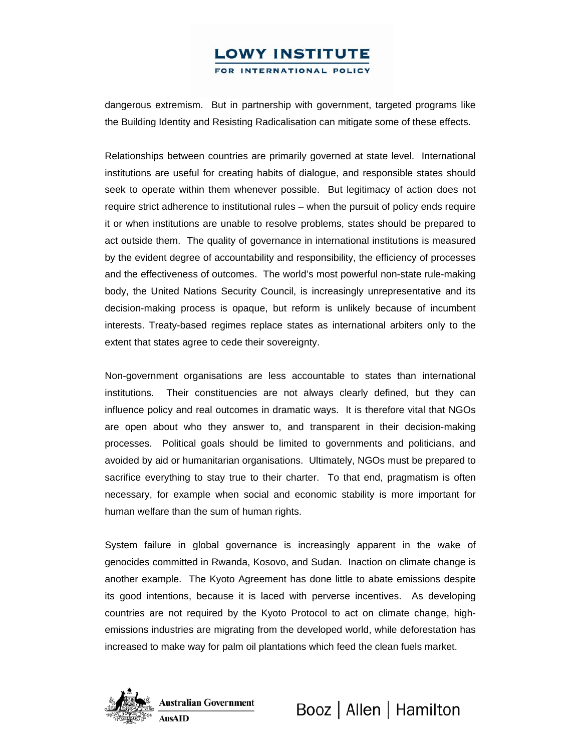dangerous extremism. But in partnership with government, targeted programs like the Building Identity and Resisting Radicalisation can mitigate some of these effects.

Relationships between countries are primarily governed at state level. International institutions are useful for creating habits of dialogue, and responsible states should seek to operate within them whenever possible. But legitimacy of action does not require strict adherence to institutional rules – when the pursuit of policy ends require it or when institutions are unable to resolve problems, states should be prepared to act outside them. The quality of governance in international institutions is measured by the evident degree of accountability and responsibility, the efficiency of processes and the effectiveness of outcomes. The world's most powerful non-state rule-making body, the United Nations Security Council, is increasingly unrepresentative and its decision-making process is opaque, but reform is unlikely because of incumbent interests. Treaty-based regimes replace states as international arbiters only to the extent that states agree to cede their sovereignty.

Non-government organisations are less accountable to states than international institutions. Their constituencies are not always clearly defined, but they can influence policy and real outcomes in dramatic ways. It is therefore vital that NGOs are open about who they answer to, and transparent in their decision-making processes. Political goals should be limited to governments and politicians, and avoided by aid or humanitarian organisations. Ultimately, NGOs must be prepared to sacrifice everything to stay true to their charter. To that end, pragmatism is often necessary, for example when social and economic stability is more important for human welfare than the sum of human rights.

System failure in global governance is increasingly apparent in the wake of genocides committed in Rwanda, Kosovo, and Sudan. Inaction on climate change is another example. The Kyoto Agreement has done little to abate emissions despite its good intentions, because it is laced with perverse incentives. As developing countries are not required by the Kyoto Protocol to act on climate change, highemissions industries are migrating from the developed world, while deforestation has increased to make way for palm oil plantations which feed the clean fuels market.



**Australian Government AusAID** 

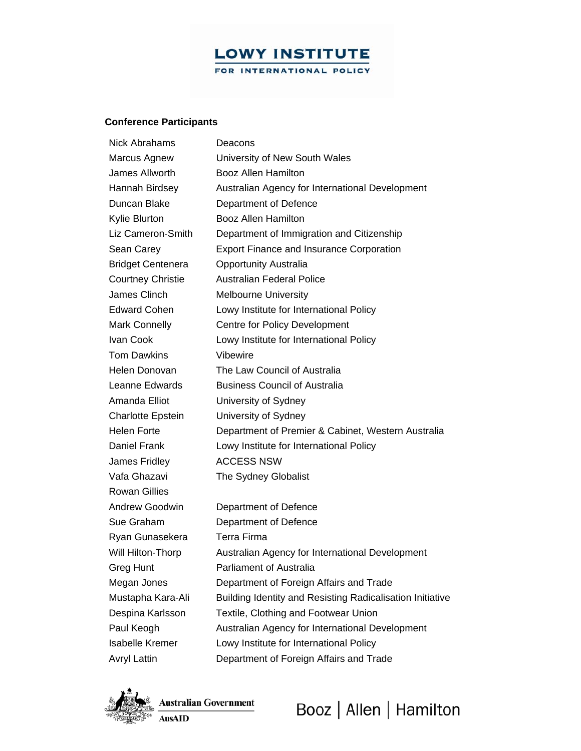#### **Conference Participants**

| <b>Nick Abrahams</b>     | Deacons                                                   |
|--------------------------|-----------------------------------------------------------|
| Marcus Agnew             | University of New South Wales                             |
| James Allworth           | <b>Booz Allen Hamilton</b>                                |
| Hannah Birdsey           | Australian Agency for International Development           |
| Duncan Blake             | Department of Defence                                     |
| Kylie Blurton            | Booz Allen Hamilton                                       |
| Liz Cameron-Smith        | Department of Immigration and Citizenship                 |
| Sean Carey               | <b>Export Finance and Insurance Corporation</b>           |
| Bridget Centenera        | <b>Opportunity Australia</b>                              |
| Courtney Christie        | <b>Australian Federal Police</b>                          |
| James Clinch             | <b>Melbourne University</b>                               |
| Edward Cohen             | Lowy Institute for International Policy                   |
| Mark Connelly            | Centre for Policy Development                             |
| Ivan Cook                | Lowy Institute for International Policy                   |
| <b>Tom Dawkins</b>       | Vibewire                                                  |
| Helen Donovan            | The Law Council of Australia                              |
| Leanne Edwards           | <b>Business Council of Australia</b>                      |
| Amanda Elliot            | University of Sydney                                      |
| <b>Charlotte Epstein</b> | University of Sydney                                      |
| Helen Forte              | Department of Premier & Cabinet, Western Australia        |
| Daniel Frank             | Lowy Institute for International Policy                   |
| James Fridley            | <b>ACCESS NSW</b>                                         |
| Vafa Ghazavi             | The Sydney Globalist                                      |
| Rowan Gillies            |                                                           |
| Andrew Goodwin           | Department of Defence                                     |
| Sue Graham               | Department of Defence                                     |
| Ryan Gunasekera          | <b>Terra Firma</b>                                        |
| Will Hilton-Thorp        | Australian Agency for International Development           |
| Greg Hunt                | <b>Parliament of Australia</b>                            |
| Megan Jones              | Department of Foreign Affairs and Trade                   |
| Mustapha Kara-Ali        | Building Identity and Resisting Radicalisation Initiative |
| Despina Karlsson         | Textile, Clothing and Footwear Union                      |
| Paul Keogh               | Australian Agency for International Development           |
| <b>Isabelle Kremer</b>   | Lowy Institute for International Policy                   |
| Avryl Lattin             | Department of Foreign Affairs and Trade                   |
|                          |                                                           |



Australian Government **AusAID**